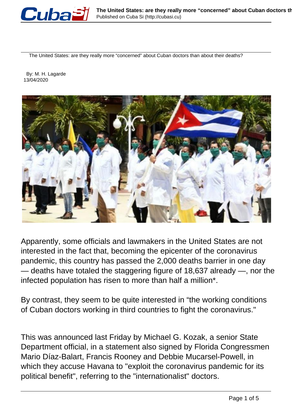

The United States: are they really more "concerned" about Cuban doctors than about their deaths?

 By: M. H. Lagarde 13/04/2020



Apparently, some officials and lawmakers in the United States are not interested in the fact that, becoming the epicenter of the coronavirus pandemic, this country has passed the 2,000 deaths barrier in one day — deaths have totaled the staggering figure of 18,637 already —, nor the infected population has risen to more than half a million\*.

By contrast, they seem to be quite interested in "the working conditions of Cuban doctors working in third countries to fight the coronavirus."

This was announced last Friday by Michael G. Kozak, a senior State Department official, in a statement also signed by Florida Congressmen Mario Díaz-Balart, Francis Rooney and Debbie Mucarsel-Powell, in which they accuse Havana to "exploit the coronavirus pandemic for its political benefit", referring to the "internationalist" doctors.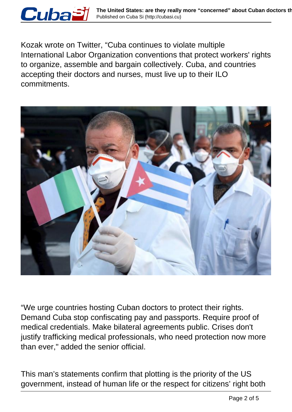

Kozak wrote on Twitter, "Cuba continues to violate multiple International Labor Organization conventions that protect workers' rights to organize, assemble and bargain collectively. Cuba, and countries accepting their doctors and nurses, must live up to their ILO commitments.



"We urge countries hosting Cuban doctors to protect their rights. Demand Cuba stop confiscating pay and passports. Require proof of medical credentials. Make bilateral agreements public. Crises don't justify trafficking medical professionals, who need protection now more than ever," added the senior official.

This man's statements confirm that plotting is the priority of the US government, instead of human life or the respect for citizens' right both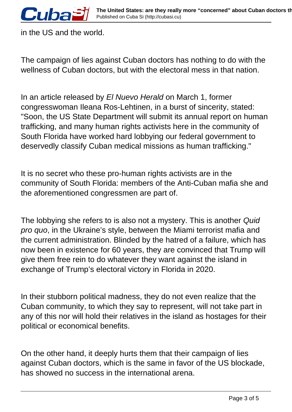in the US and the world.

The campaign of lies against Cuban doctors has nothing to do with the wellness of Cuban doctors, but with the electoral mess in that nation.

In an article released by El Nuevo Herald on March 1, former congresswoman Ileana Ros-Lehtinen, in a burst of sincerity, stated: "Soon, the US State Department will submit its annual report on human trafficking, and many human rights activists here in the community of South Florida have worked hard lobbying our federal government to deservedly classify Cuban medical missions as human trafficking."

It is no secret who these pro-human rights activists are in the community of South Florida: members of the Anti-Cuban mafia she and the aforementioned congressmen are part of.

The lobbying she refers to is also not a mystery. This is another Quid pro quo, in the Ukraine's style, between the Miami terrorist mafia and the current administration. Blinded by the hatred of a failure, which has now been in existence for 60 years, they are convinced that Trump will give them free rein to do whatever they want against the island in exchange of Trump's electoral victory in Florida in 2020.

In their stubborn political madness, they do not even realize that the Cuban community, to which they say to represent, will not take part in any of this nor will hold their relatives in the island as hostages for their political or economical benefits.

On the other hand, it deeply hurts them that their campaign of lies against Cuban doctors, which is the same in favor of the US blockade, has showed no success in the international arena.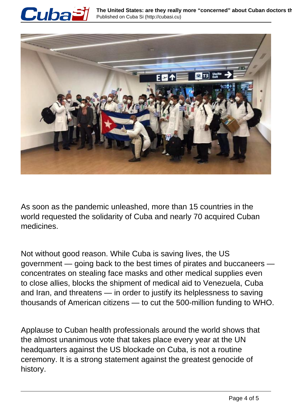



As soon as the pandemic unleashed, more than 15 countries in the world requested the solidarity of Cuba and nearly 70 acquired Cuban medicines.

Not without good reason. While Cuba is saving lives, the US government — going back to the best times of pirates and buccaneers concentrates on stealing face masks and other medical supplies even to close allies, blocks the shipment of medical aid to Venezuela, Cuba and Iran, and threatens — in order to justify its helplessness to saving thousands of American citizens — to cut the 500-million funding to WHO.

Applause to Cuban health professionals around the world shows that the almost unanimous vote that takes place every year at the UN headquarters against the US blockade on Cuba, is not a routine ceremony. It is a strong statement against the greatest genocide of history.